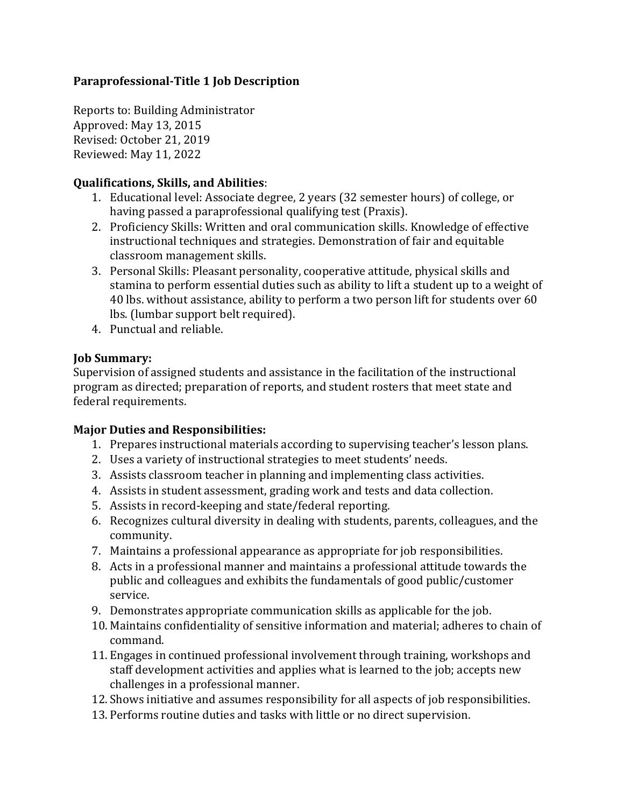# **Paraprofessional-Title 1 Job Description**

Reports to: Building Administrator Approved: May 13, 2015 Revised: October 21, 2019 Reviewed: May 11, 2022

### **Qualifications, Skills, and Abilities**:

- 1. Educational level: Associate degree, 2 years (32 semester hours) of college, or having passed a paraprofessional qualifying test (Praxis).
- 2. Proficiency Skills: Written and oral communication skills. Knowledge of effective instructional techniques and strategies. Demonstration of fair and equitable classroom management skills.
- 3. Personal Skills: Pleasant personality, cooperative attitude, physical skills and stamina to perform essential duties such as ability to lift a student up to a weight of 40 lbs. without assistance, ability to perform a two person lift for students over 60 lbs. (lumbar support belt required).
- 4. Punctual and reliable.

# **Job Summary:**

Supervision of assigned students and assistance in the facilitation of the instructional program as directed; preparation of reports, and student rosters that meet state and federal requirements.

### **Major Duties and Responsibilities:**

- 1. Prepares instructional materials according to supervising teacher's lesson plans.
- 2. Uses a variety of instructional strategies to meet students' needs.
- 3. Assists classroom teacher in planning and implementing class activities.
- 4. Assists in student assessment, grading work and tests and data collection.
- 5. Assists in record-keeping and state/federal reporting.
- 6. Recognizes cultural diversity in dealing with students, parents, colleagues, and the community.
- 7. Maintains a professional appearance as appropriate for job responsibilities.
- 8. Acts in a professional manner and maintains a professional attitude towards the public and colleagues and exhibits the fundamentals of good public/customer service.
- 9. Demonstrates appropriate communication skills as applicable for the job.
- 10. Maintains confidentiality of sensitive information and material; adheres to chain of command.
- 11. Engages in continued professional involvement through training, workshops and staff development activities and applies what is learned to the job; accepts new challenges in a professional manner.
- 12. Shows initiative and assumes responsibility for all aspects of job responsibilities.
- 13. Performs routine duties and tasks with little or no direct supervision.